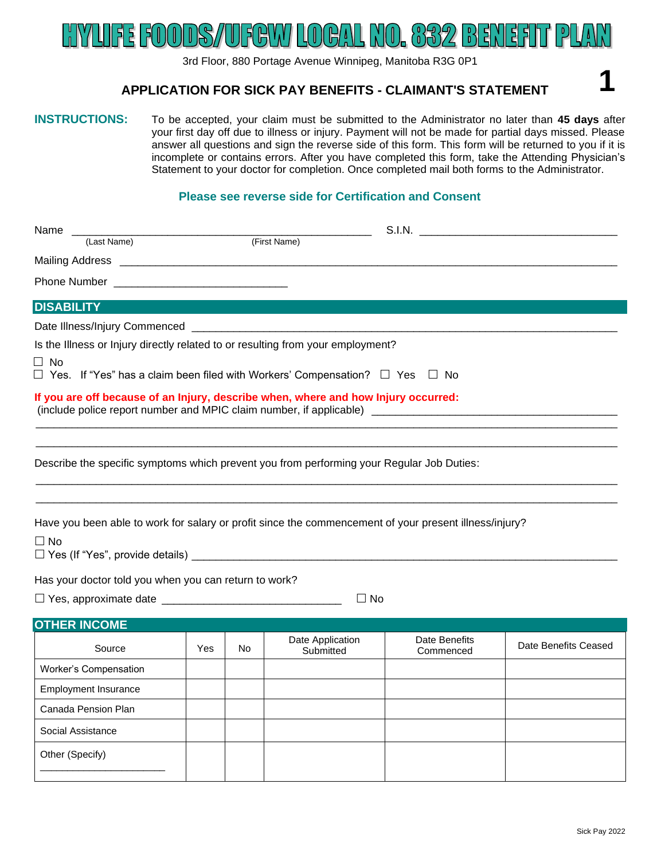#### (039)22 BIENEER H EL I К 12. L Þ

3rd Floor, 880 Portage Avenue Winnipeg, Manitoba R3G 0P1

#### **APPLICATION FOR SICK PAY BENEFITS - CLAIMANT'S STATEMENT**

# **INSTRUCTIONS:** To be accepted, your claim must be submitted to the Administrator no later than **45 days** after

your first day off due to illness or injury. Payment will not be made for partial days missed. Please answer all questions and sign the reverse side of this form. This form will be returned to you if it is incomplete or contains errors. After you have completed this form, take the Attending Physician's Statement to your doctor for completion. Once completed mail both forms to the Administrator.

#### **Please see reverse side for Certification and Consent**

| Name                                                                                                                                                                                      |     |     |                  | S.I.N. <b>S.I.N.</b> |                      |  |  |  |  |  |
|-------------------------------------------------------------------------------------------------------------------------------------------------------------------------------------------|-----|-----|------------------|----------------------|----------------------|--|--|--|--|--|
| (Last Name)                                                                                                                                                                               |     |     | (First Name)     |                      |                      |  |  |  |  |  |
|                                                                                                                                                                                           |     |     |                  |                      |                      |  |  |  |  |  |
|                                                                                                                                                                                           |     |     |                  |                      |                      |  |  |  |  |  |
| <b>DISABILITY</b>                                                                                                                                                                         |     |     |                  |                      |                      |  |  |  |  |  |
|                                                                                                                                                                                           |     |     |                  |                      |                      |  |  |  |  |  |
| Is the Illness or Injury directly related to or resulting from your employment?                                                                                                           |     |     |                  |                      |                      |  |  |  |  |  |
| $\Box$ No                                                                                                                                                                                 |     |     |                  |                      |                      |  |  |  |  |  |
| $\Box$ Yes. If "Yes" has a claim been filed with Workers' Compensation? $\Box$ Yes $\Box$ No                                                                                              |     |     |                  |                      |                      |  |  |  |  |  |
| If you are off because of an Injury, describe when, where and how Injury occurred:<br>(include police report number and MPIC claim number, if applicable) _______________________________ |     |     |                  |                      |                      |  |  |  |  |  |
| Describe the specific symptoms which prevent you from performing your Regular Job Duties:                                                                                                 |     |     |                  |                      |                      |  |  |  |  |  |
| Have you been able to work for salary or profit since the commencement of your present illness/injury?<br>$\Box$ No                                                                       |     |     |                  |                      |                      |  |  |  |  |  |
| Has your doctor told you when you can return to work?                                                                                                                                     |     |     |                  |                      |                      |  |  |  |  |  |
| $\Box$ No                                                                                                                                                                                 |     |     |                  |                      |                      |  |  |  |  |  |
|                                                                                                                                                                                           |     |     |                  |                      |                      |  |  |  |  |  |
| <b>OTHER INCOME</b>                                                                                                                                                                       |     |     | Date Application | Date Benefits        |                      |  |  |  |  |  |
| Source                                                                                                                                                                                    | Yes | No. | Submitted        | Commenced            | Date Benefits Ceased |  |  |  |  |  |
| Worker's Compensation                                                                                                                                                                     |     |     |                  |                      |                      |  |  |  |  |  |
| <b>Employment Insurance</b>                                                                                                                                                               |     |     |                  |                      |                      |  |  |  |  |  |
| Canada Pension Plan                                                                                                                                                                       |     |     |                  |                      |                      |  |  |  |  |  |
| Social Assistance                                                                                                                                                                         |     |     |                  |                      |                      |  |  |  |  |  |
| Other (Specify)                                                                                                                                                                           |     |     |                  |                      |                      |  |  |  |  |  |

**1**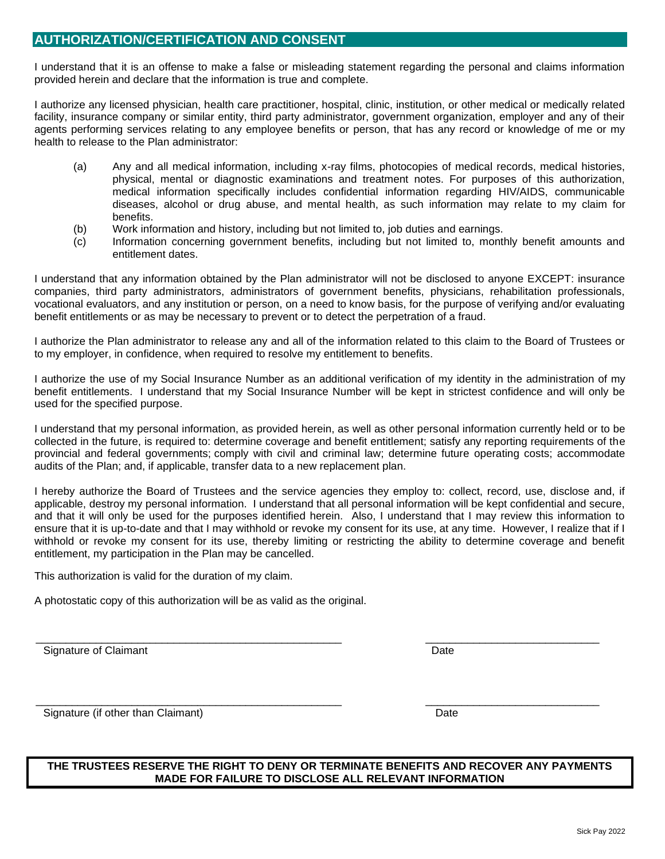#### **AUTHORIZATION/CERTIFICATION AND CONSENT**

I understand that it is an offense to make a false or misleading statement regarding the personal and claims information provided herein and declare that the information is true and complete.

I authorize any licensed physician, health care practitioner, hospital, clinic, institution, or other medical or medically related facility, insurance company or similar entity, third party administrator, government organization, employer and any of their agents performing services relating to any employee benefits or person, that has any record or knowledge of me or my health to release to the Plan administrator:

- (a) Any and all medical information, including x-ray films, photocopies of medical records, medical histories, physical, mental or diagnostic examinations and treatment notes. For purposes of this authorization, medical information specifically includes confidential information regarding HIV/AIDS, communicable diseases, alcohol or drug abuse, and mental health, as such information may relate to my claim for benefits.
- (b) Work information and history, including but not limited to, job duties and earnings.
- (c) Information concerning government benefits, including but not limited to, monthly benefit amounts and entitlement dates.

I understand that any information obtained by the Plan administrator will not be disclosed to anyone EXCEPT: insurance companies, third party administrators, administrators of government benefits, physicians, rehabilitation professionals, vocational evaluators, and any institution or person, on a need to know basis, for the purpose of verifying and/or evaluating benefit entitlements or as may be necessary to prevent or to detect the perpetration of a fraud.

I authorize the Plan administrator to release any and all of the information related to this claim to the Board of Trustees or to my employer, in confidence, when required to resolve my entitlement to benefits.

I authorize the use of my Social Insurance Number as an additional verification of my identity in the administration of my benefit entitlements. I understand that my Social Insurance Number will be kept in strictest confidence and will only be used for the specified purpose.

I understand that my personal information, as provided herein, as well as other personal information currently held or to be collected in the future, is required to: determine coverage and benefit entitlement; satisfy any reporting requirements of the provincial and federal governments; comply with civil and criminal law; determine future operating costs; accommodate audits of the Plan; and, if applicable, transfer data to a new replacement plan.

I hereby authorize the Board of Trustees and the service agencies they employ to: collect, record, use, disclose and, if applicable, destroy my personal information. I understand that all personal information will be kept confidential and secure, and that it will only be used for the purposes identified herein. Also, I understand that I may review this information to ensure that it is up-to-date and that I may withhold or revoke my consent for its use, at any time. However, I realize that if I withhold or revoke my consent for its use, thereby limiting or restricting the ability to determine coverage and benefit entitlement, my participation in the Plan may be cancelled.

This authorization is valid for the duration of my claim.

A photostatic copy of this authorization will be as valid as the original.

\_\_\_\_\_\_\_\_\_\_\_\_\_\_\_\_\_\_\_\_\_\_\_\_\_\_\_\_\_\_\_\_\_\_\_\_\_\_\_\_\_\_\_\_\_\_\_\_\_\_\_ \_\_\_\_\_\_\_\_\_\_\_\_\_\_\_\_\_\_\_\_\_\_\_\_\_\_\_\_\_ Signature of Claimant **Date Date Date Date Date Date Date Date Date Date Date Date Date Date** 

Signature (if other than Claimant) Date and the state of the Date of the Date of the Date of the Date of the Date of the Date of the Date of the Date of the Date of the Date of the Date of the Date of the Date of the Date

#### **THE TRUSTEES RESERVE THE RIGHT TO DENY OR TERMINATE BENEFITS AND RECOVER ANY PAYMENTS MADE FOR FAILURE TO DISCLOSE ALL RELEVANT INFORMATION**

\_\_\_\_\_\_\_\_\_\_\_\_\_\_\_\_\_\_\_\_\_\_\_\_\_\_\_\_\_\_\_\_\_\_\_\_\_\_\_\_\_\_\_\_\_\_\_\_\_\_\_ \_\_\_\_\_\_\_\_\_\_\_\_\_\_\_\_\_\_\_\_\_\_\_\_\_\_\_\_\_